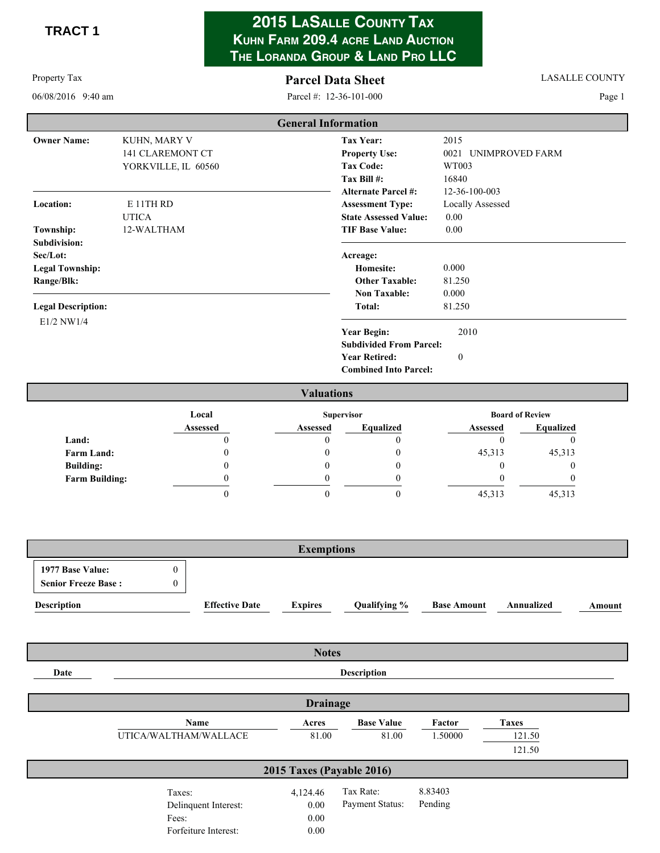**TRACT 1** 

## **2015 LASALLE COUNTY TAX KUHN FARM 209.4 ACRE LAND AUCTION THE LORANDA GROUP & LAND PRO LLC**

### Parcel Data S

**LASALLE COUNTY** 

06/08/2016 9:40 am m Pa

Property Tax

rcel #: 12-36-101-000

Page 1

|                           |                         | <b>General Information</b>     |                         |
|---------------------------|-------------------------|--------------------------------|-------------------------|
| <b>Owner Name:</b>        | KUHN, MARY V            | <b>Tax Year:</b>               | 2015                    |
|                           | <b>141 CLAREMONT CT</b> | <b>Property Use:</b>           | UNIMPROVED FARM<br>0021 |
|                           | YORKVILLE, IL 60560     | <b>Tax Code:</b>               | WT003                   |
|                           |                         | Tax Bill #:                    | 16840                   |
|                           |                         | <b>Alternate Parcel #:</b>     | 12-36-100-003           |
| <b>Location:</b>          | E 11TH RD               | <b>Assessment Type:</b>        | Locally Assessed        |
|                           | <b>UTICA</b>            | <b>State Assessed Value:</b>   | 0.00                    |
| Township:                 | 12-WALTHAM              | <b>TIF Base Value:</b>         | 0.00                    |
| Subdivision:              |                         |                                |                         |
| Sec/Lot:                  |                         | Acreage:                       |                         |
| <b>Legal Township:</b>    |                         | Homesite:                      | 0.000                   |
| Range/Blk:                |                         | <b>Other Taxable:</b>          | 81.250                  |
|                           |                         | <b>Non Taxable:</b>            | 0.000                   |
| <b>Legal Description:</b> |                         | Total:                         | 81.250                  |
| E1/2 NW1/4                |                         |                                |                         |
|                           |                         | <b>Year Begin:</b>             | 2010                    |
|                           |                         | <b>Subdivided From Parcel:</b> |                         |
|                           |                         | <b>Year Retired:</b>           | $\mathbf{0}$            |
|                           |                         | <b>Combined Into Parcel:</b>   |                         |
|                           |                         |                                |                         |

|                       |          | <b>Valuations</b> |           |          |                        |
|-----------------------|----------|-------------------|-----------|----------|------------------------|
|                       | Local    | <b>Supervisor</b> |           |          | <b>Board of Review</b> |
|                       | Assessed | <b>Assessed</b>   | Equalized | Assessed | <b>Equalized</b>       |
| Land:                 |          |                   |           |          |                        |
| <b>Farm Land:</b>     |          |                   |           | 45,313   | 45,313                 |
| <b>Building:</b>      |          |                   |           |          |                        |
| <b>Farm Building:</b> |          |                   |           |          |                        |
|                       |          |                   |           | 45,313   | 45,313                 |

| <b>Exemptions</b>                              |  |                       |                |              |                    |            |        |
|------------------------------------------------|--|-----------------------|----------------|--------------|--------------------|------------|--------|
| 1977 Base Value:<br><b>Senior Freeze Base:</b> |  |                       |                |              |                    |            |        |
| <b>Description</b>                             |  | <b>Effective Date</b> | <b>Expires</b> | Qualifying % | <b>Base Amount</b> | Annualized | Amount |

|      | <b>Notes</b>                                                    |                                  |                              |                    |                                  |  |  |  |  |
|------|-----------------------------------------------------------------|----------------------------------|------------------------------|--------------------|----------------------------------|--|--|--|--|
| Date |                                                                 | <b>Description</b>               |                              |                    |                                  |  |  |  |  |
|      |                                                                 | <b>Drainage</b>                  |                              |                    |                                  |  |  |  |  |
|      | Name<br>UTICA/WALTHAM/WALLACE                                   | Acres<br>81.00                   | <b>Base Value</b><br>81.00   | Factor<br>1.50000  | <b>Taxes</b><br>121.50<br>121.50 |  |  |  |  |
|      |                                                                 | 2015 Taxes (Payable 2016)        |                              |                    |                                  |  |  |  |  |
|      | Taxes:<br>Delinquent Interest:<br>Fees:<br>Forfeiture Interest: | 4,124.46<br>0.00<br>0.00<br>0.00 | Tax Rate:<br>Payment Status: | 8.83403<br>Pending |                                  |  |  |  |  |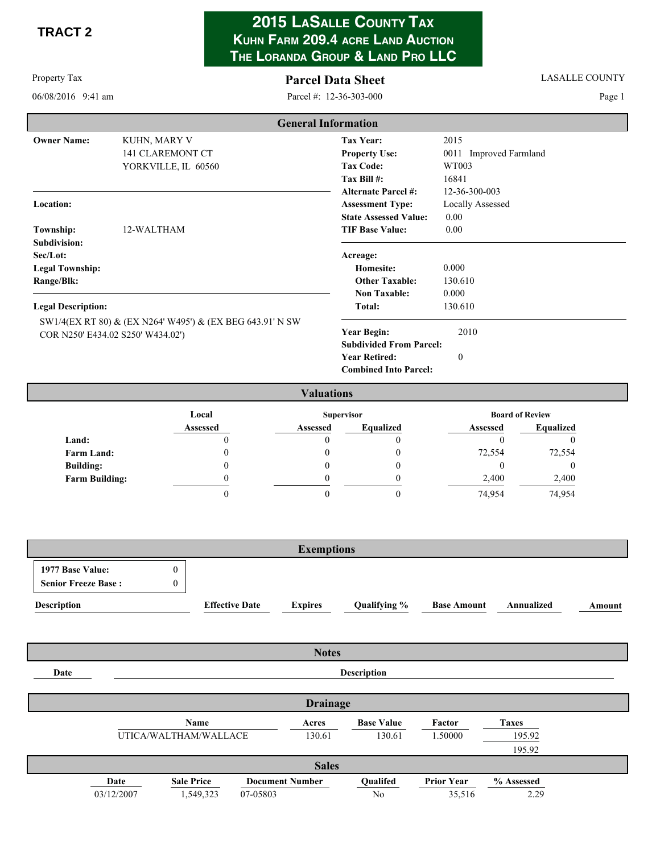**TRACT 2** 

Property Tax

# 2015 LASALLE COUNTY TAX KUHN FARM 209.4 ACRE LAND AUCTION THE LORANDA GROUP & LAND PRO LLC

### **Parcel Data Sheet** Parcel #: 12-36-303-000

**LASALLE COUNTY** 

Page 1

06/08/2016 9:41 am

|                           |                                                                                                | <b>General Information</b>                           |                         |
|---------------------------|------------------------------------------------------------------------------------------------|------------------------------------------------------|-------------------------|
| <b>Owner Name:</b>        | KUHN, MARY V                                                                                   | <b>Tax Year:</b>                                     | 2015                    |
|                           | <b>141 CLAREMONT CT</b>                                                                        | <b>Property Use:</b>                                 | 0011 Improved Farmland  |
|                           | YORKVILLE, IL 60560                                                                            | <b>Tax Code:</b>                                     | WT003                   |
|                           |                                                                                                | Tax Bill #:                                          | 16841                   |
|                           |                                                                                                | <b>Alternate Parcel #:</b>                           | 12-36-300-003           |
| Location:                 |                                                                                                | <b>Assessment Type:</b>                              | <b>Locally Assessed</b> |
|                           |                                                                                                | <b>State Assessed Value:</b>                         | 0.00                    |
| Township:                 | 12-WALTHAM                                                                                     | <b>TIF Base Value:</b>                               | 0.00                    |
| Subdivision:              |                                                                                                |                                                      |                         |
| Sec/Lot:                  |                                                                                                | Acreage:                                             |                         |
| <b>Legal Township:</b>    |                                                                                                | <b>Homesite:</b>                                     | 0.000                   |
| Range/Blk:                |                                                                                                | <b>Other Taxable:</b>                                | 130.610                 |
|                           |                                                                                                | <b>Non Taxable:</b>                                  | 0.000                   |
| <b>Legal Description:</b> |                                                                                                | Total:                                               | 130.610                 |
|                           | SW1/4(EX RT 80) & (EX N264' W495') & (EX BEG 643.91' N SW<br>COR N250' E434.02 S250' W434.02') | <b>Year Begin:</b><br><b>Subdivided From Parcel:</b> | 2010                    |
|                           |                                                                                                | <b>Year Retired:</b>                                 | $\mathbf{0}$            |
|                           |                                                                                                | <b>Combined Into Parcel:</b>                         |                         |
|                           |                                                                                                | <b>Valuations</b>                                    |                         |

|                       |          | v anuatnvno       |           |                 |                        |  |
|-----------------------|----------|-------------------|-----------|-----------------|------------------------|--|
|                       | Local    | <b>Supervisor</b> |           |                 | <b>Board of Review</b> |  |
|                       | Assessed | <b>Assessed</b>   | Equalized | <b>Assessed</b> | <b>Equalized</b>       |  |
| Land:                 |          |                   |           |                 |                        |  |
| <b>Farm Land:</b>     |          |                   |           | 72,554          | 72,554                 |  |
| <b>Building:</b>      |          |                   |           |                 |                        |  |
| <b>Farm Building:</b> |          |                   |           | 2,400           | 2,400                  |  |
|                       |          |                   |           | 74,954          | 74,954                 |  |

| <b>Exemptions</b>                              |  |                       |                |              |                    |            |        |
|------------------------------------------------|--|-----------------------|----------------|--------------|--------------------|------------|--------|
| 1977 Base Value:<br><b>Senior Freeze Base:</b> |  |                       |                |              |                    |            |        |
| <b>Description</b>                             |  | <b>Effective Date</b> | <b>Expires</b> | Qualifying % | <b>Base Amount</b> | Annualized | Amount |

|              |                       |                    |                        | <b>Notes</b> |                   |                   |              |  |
|--------------|-----------------------|--------------------|------------------------|--------------|-------------------|-------------------|--------------|--|
| Date         |                       | <b>Description</b> |                        |              |                   |                   |              |  |
|              |                       |                    |                        |              |                   |                   |              |  |
|              | <b>Drainage</b>       |                    |                        |              |                   |                   |              |  |
|              |                       | Name               |                        | Acres        | <b>Base Value</b> | Factor            | <b>Taxes</b> |  |
|              | UTICA/WALTHAM/WALLACE |                    |                        | 130.61       | 130.61            | 1.50000           | 195.92       |  |
|              |                       |                    |                        |              |                   |                   | 195.92       |  |
| <b>Sales</b> |                       |                    |                        |              |                   |                   |              |  |
|              | Date                  | <b>Sale Price</b>  | <b>Document Number</b> |              | Qualifed          | <b>Prior Year</b> | % Assessed   |  |
|              | 03/12/2007            | 1,549,323          | 07-05803               |              | No                | 35,516            | 2.29         |  |